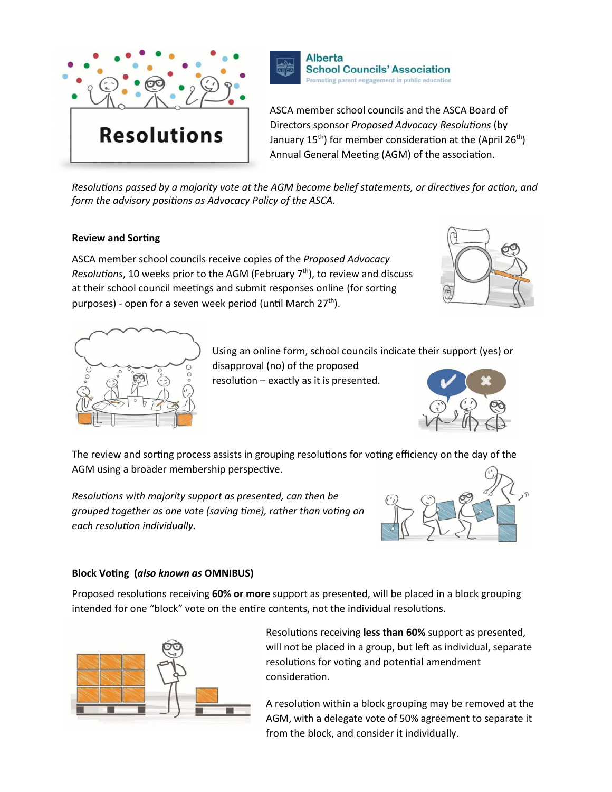



ASCA member school councils and the ASCA Board of Directors sponsor *Proposed Advocacy Resolutions* (by January  $15<sup>th</sup>$ ) for member consideration at the (April 26<sup>th</sup>) Annual General Meeting (AGM) of the association.

*Resolutions passed by a majority vote at the AGM become belief statements, or directives for action, and form the advisory positions as Advocacy Policy of the ASCA.* 

#### **Review and Sorting**

ASCA member school councils receive copies of the *Proposed Advocacy Resolutions*, 10 weeks prior to the AGM (February 7<sup>th</sup>), to review and discuss at their school council meetings and submit responses online (for sorting purposes) - open for a seven week period (until March  $27<sup>th</sup>$ ).





Using an online form, school councils indicate their support (yes) or disapproval (no) of the proposed

resolution – exactly as it is presented.



The review and sorting process assists in grouping resolutions for voting efficiency on the day of the AGM using a broader membership perspective.

*ResoluƟons with majority support as presented, can then be grouped together as one vote (saving Ɵme), rather than voƟng on each resoluƟon individually.*



#### **Block VoƟng (***also known as* **OMNIBUS)**

Proposed resolutions receiving 60% or more support as presented, will be placed in a block grouping intended for one "block" vote on the entire contents, not the individual resolutions.



Resolutions receiving less than 60% support as presented, will not be placed in a group, but left as individual, separate resolutions for voting and potential amendment consideration.

A resolution within a block grouping may be removed at the AGM, with a delegate vote of 50% agreement to separate it from the block, and consider it individually.